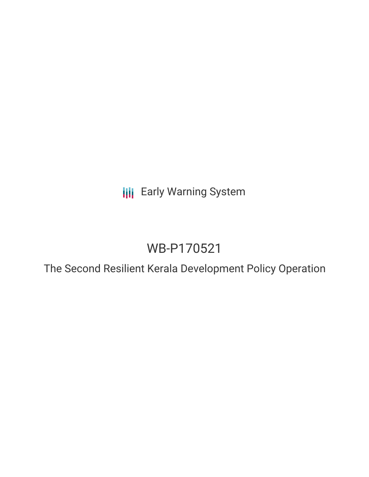**III** Early Warning System

# WB-P170521

The Second Resilient Kerala Development Policy Operation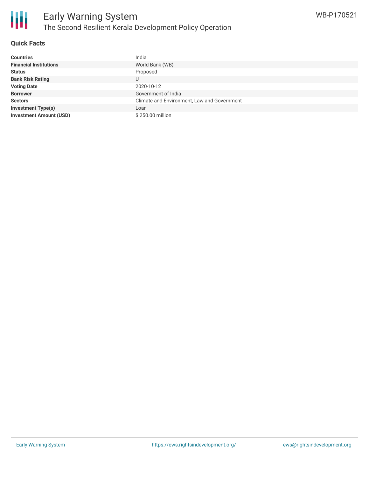

#### **Quick Facts**

| <b>Countries</b>               | India                                       |
|--------------------------------|---------------------------------------------|
| <b>Financial Institutions</b>  | World Bank (WB)                             |
| <b>Status</b>                  | Proposed                                    |
| <b>Bank Risk Rating</b>        | U                                           |
| <b>Voting Date</b>             | 2020-10-12                                  |
| <b>Borrower</b>                | Government of India                         |
| <b>Sectors</b>                 | Climate and Environment, Law and Government |
| <b>Investment Type(s)</b>      | Loan                                        |
| <b>Investment Amount (USD)</b> | \$250.00 million                            |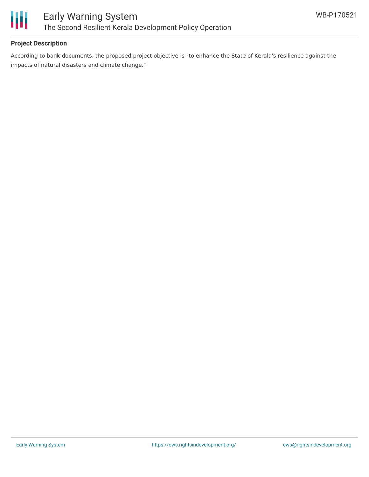

#### **Project Description**

According to bank documents, the proposed project objective is "to enhance the State of Kerala's resilience against the impacts of natural disasters and climate change."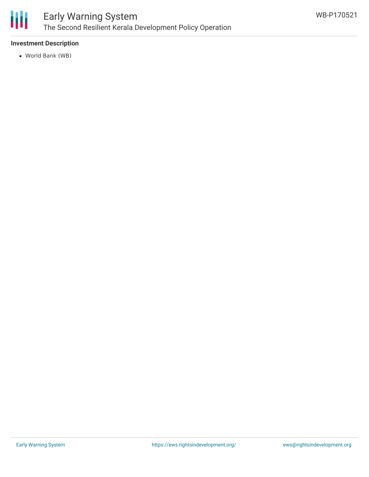

## Early Warning System The Second Resilient Kerala Development Policy Operation

#### **Investment Description**

World Bank (WB)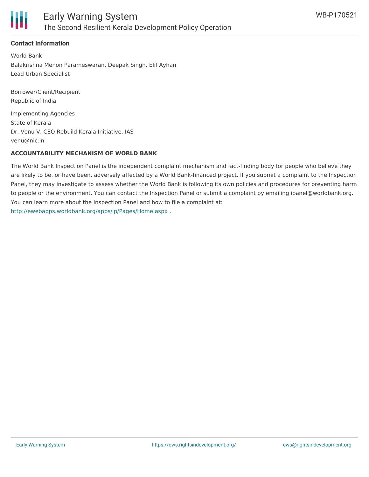

#### **Contact Information**

World Bank Balakrishna Menon Parameswaran, Deepak Singh, Elif Ayhan Lead Urban Specialist

Borrower/Client/Recipient Republic of India Implementing Agencies State of Kerala Dr. Venu V, CEO Rebuild Kerala Initiative, IAS venu@nic.in

#### **ACCOUNTABILITY MECHANISM OF WORLD BANK**

The World Bank Inspection Panel is the independent complaint mechanism and fact-finding body for people who believe they are likely to be, or have been, adversely affected by a World Bank-financed project. If you submit a complaint to the Inspection Panel, they may investigate to assess whether the World Bank is following its own policies and procedures for preventing harm to people or the environment. You can contact the Inspection Panel or submit a complaint by emailing ipanel@worldbank.org. You can learn more about the Inspection Panel and how to file a complaint at: <http://ewebapps.worldbank.org/apps/ip/Pages/Home.aspx> .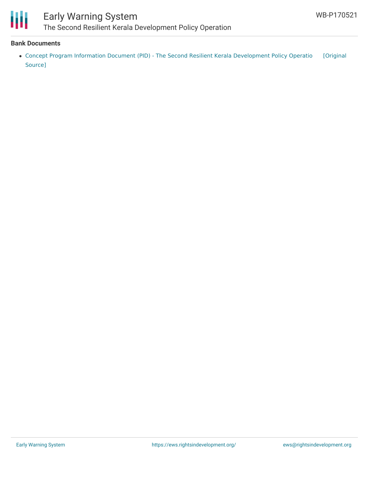

# Early Warning System

The Second Resilient Kerala Development Policy Operation

#### **Bank Documents**

• Concept Program Information Document (PID) - The Second Resilient Kerala [Development](https://ewsdata.rightsindevelopment.org/files/documents/21/WB-P170521.pdf) Policy Operatio [Original Source]